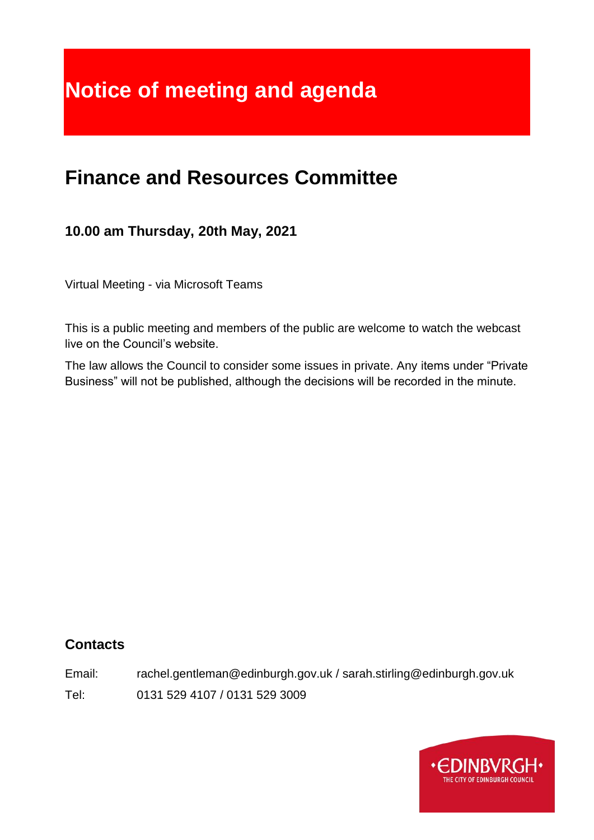# **Notice of meeting and agenda**

# **Finance and Resources Committee**

# **10.00 am Thursday, 20th May, 2021**

Virtual Meeting - via Microsoft Teams

This is a public meeting and members of the public are welcome to watch the webcast live on the Council's website.

The law allows the Council to consider some issues in private. Any items under "Private Business" will not be published, although the decisions will be recorded in the minute.

# **Contacts**

Email: rachel.gentleman@edinburgh.gov.uk / sarah.stirling@edinburgh.gov.uk

Tel: 0131 529 4107 / 0131 529 3009

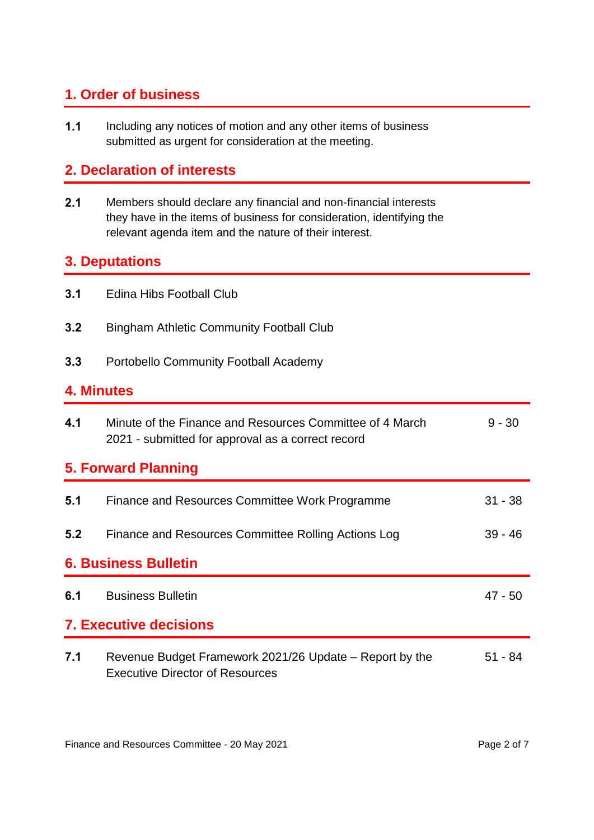# **1. Order of business**

**1.1** Including any notices of motion and any other items of business submitted as urgent for consideration at the meeting.

# **2. Declaration of interests**

**2.1** Members should declare any financial and non-financial interests they have in the items of business for consideration, identifying the relevant agenda item and the nature of their interest.

# **3. Deputations**

| 3.1 | Edina Hibs Football Club |
|-----|--------------------------|
|     |                          |

- **3.2** Bingham Athletic Community Football Club
- **3.3** Portobello Community Football Academy

#### **4. Minutes**

| 4.1                         | Minute of the Finance and Resources Committee of 4 March<br>2021 - submitted for approval as a correct record | $9 - 30$  |  |
|-----------------------------|---------------------------------------------------------------------------------------------------------------|-----------|--|
| 5. Forward Planning         |                                                                                                               |           |  |
| 5.1                         | Finance and Resources Committee Work Programme                                                                | $31 - 38$ |  |
| 5.2                         | Finance and Resources Committee Rolling Actions Log                                                           | $39 - 46$ |  |
| <b>6. Business Bulletin</b> |                                                                                                               |           |  |
| 6.1                         | <b>Business Bulletin</b>                                                                                      | 47 - 50   |  |
|                             | <b>7. Executive decisions</b>                                                                                 |           |  |
| 7.1                         | Revenue Budget Framework 2021/26 Update – Report by the<br><b>Executive Director of Resources</b>             | $51 - 84$ |  |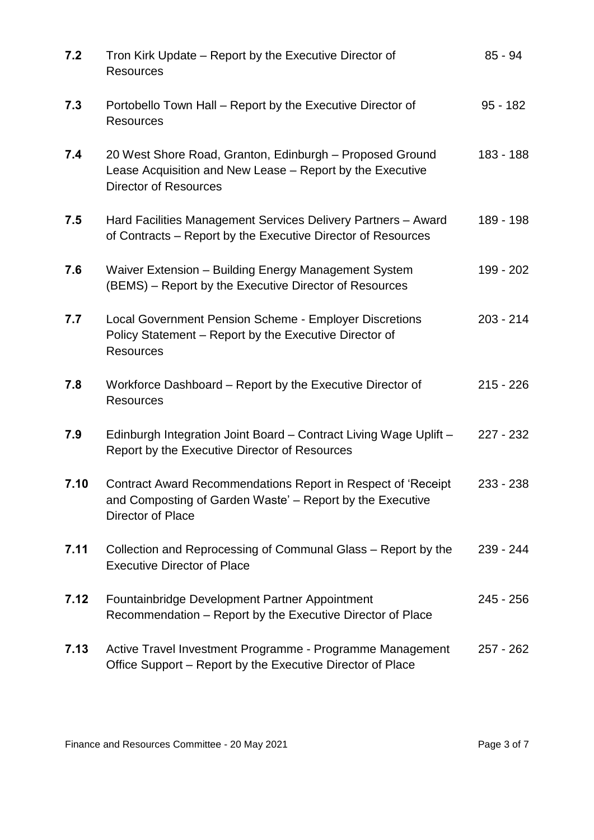| 7.2  | Tron Kirk Update - Report by the Executive Director of<br><b>Resources</b>                                                                            | $85 - 94$   |
|------|-------------------------------------------------------------------------------------------------------------------------------------------------------|-------------|
| 7.3  | Portobello Town Hall - Report by the Executive Director of<br><b>Resources</b>                                                                        | $95 - 182$  |
| 7.4  | 20 West Shore Road, Granton, Edinburgh - Proposed Ground<br>Lease Acquisition and New Lease - Report by the Executive<br><b>Director of Resources</b> | 183 - 188   |
| 7.5  | Hard Facilities Management Services Delivery Partners - Award<br>of Contracts – Report by the Executive Director of Resources                         | 189 - 198   |
| 7.6  | Waiver Extension - Building Energy Management System<br>(BEMS) – Report by the Executive Director of Resources                                        | 199 - 202   |
| 7.7  | Local Government Pension Scheme - Employer Discretions<br>Policy Statement - Report by the Executive Director of<br><b>Resources</b>                  | $203 - 214$ |
| 7.8  | Workforce Dashboard – Report by the Executive Director of<br><b>Resources</b>                                                                         | $215 - 226$ |
| 7.9  | Edinburgh Integration Joint Board - Contract Living Wage Uplift -<br>Report by the Executive Director of Resources                                    | 227 - 232   |
| 7.10 | Contract Award Recommendations Report in Respect of 'Receipt<br>and Composting of Garden Waste' - Report by the Executive<br>Director of Place        | 233 - 238   |
| 7.11 | Collection and Reprocessing of Communal Glass – Report by the<br><b>Executive Director of Place</b>                                                   | 239 - 244   |
| 7.12 | Fountainbridge Development Partner Appointment<br>Recommendation - Report by the Executive Director of Place                                          | 245 - 256   |
| 7.13 | Active Travel Investment Programme - Programme Management<br>Office Support - Report by the Executive Director of Place                               | $257 - 262$ |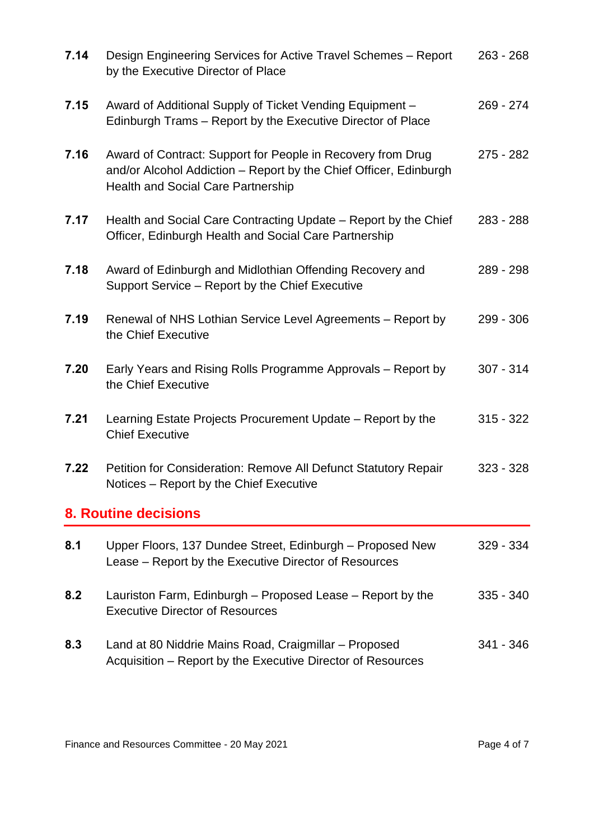| 7.14 | Design Engineering Services for Active Travel Schemes - Report<br>by the Executive Director of Place                                                                          | $263 - 268$ |
|------|-------------------------------------------------------------------------------------------------------------------------------------------------------------------------------|-------------|
| 7.15 | Award of Additional Supply of Ticket Vending Equipment -<br>Edinburgh Trams – Report by the Executive Director of Place                                                       | $269 - 274$ |
| 7.16 | Award of Contract: Support for People in Recovery from Drug<br>and/or Alcohol Addiction - Report by the Chief Officer, Edinburgh<br><b>Health and Social Care Partnership</b> | $275 - 282$ |
| 7.17 | Health and Social Care Contracting Update – Report by the Chief<br>Officer, Edinburgh Health and Social Care Partnership                                                      | $283 - 288$ |
| 7.18 | Award of Edinburgh and Midlothian Offending Recovery and<br>Support Service – Report by the Chief Executive                                                                   | 289 - 298   |
| 7.19 | Renewal of NHS Lothian Service Level Agreements - Report by<br>the Chief Executive                                                                                            | 299 - 306   |
| 7.20 | Early Years and Rising Rolls Programme Approvals - Report by<br>the Chief Executive                                                                                           | $307 - 314$ |
| 7.21 | Learning Estate Projects Procurement Update - Report by the<br><b>Chief Executive</b>                                                                                         | $315 - 322$ |
| 7.22 | Petition for Consideration: Remove All Defunct Statutory Repair<br>Notices – Report by the Chief Executive                                                                    | $323 - 328$ |
|      | <b>8. Routine decisions</b>                                                                                                                                                   |             |
| 8.1  | Upper Floors, 137 Dundee Street, Edinburgh - Proposed New<br>Lease – Report by the Executive Director of Resources                                                            | $329 - 334$ |
| 8.2  | Lauriston Farm, Edinburgh – Proposed Lease – Report by the<br><b>Executive Director of Resources</b>                                                                          | $335 - 340$ |
| 8.3  | Land at 80 Niddrie Mains Road, Craigmillar - Proposed<br>Acquisition - Report by the Executive Director of Resources                                                          | 341 - 346   |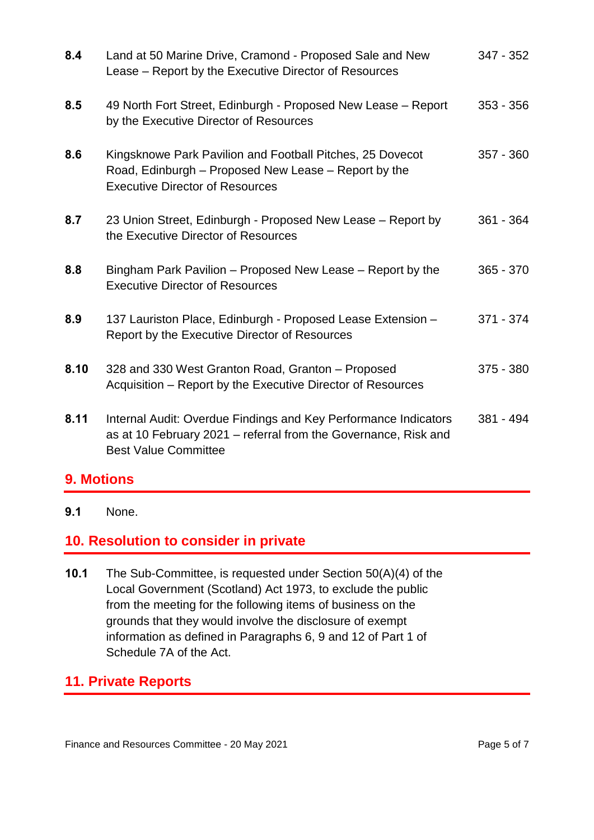| 8.4  | Land at 50 Marine Drive, Cramond - Proposed Sale and New<br>Lease - Report by the Executive Director of Resources                                                 | 347 - 352   |
|------|-------------------------------------------------------------------------------------------------------------------------------------------------------------------|-------------|
| 8.5  | 49 North Fort Street, Edinburgh - Proposed New Lease - Report<br>by the Executive Director of Resources                                                           | $353 - 356$ |
| 8.6  | Kingsknowe Park Pavilion and Football Pitches, 25 Dovecot<br>Road, Edinburgh - Proposed New Lease - Report by the<br><b>Executive Director of Resources</b>       | $357 - 360$ |
| 8.7  | 23 Union Street, Edinburgh - Proposed New Lease - Report by<br>the Executive Director of Resources                                                                | $361 - 364$ |
| 8.8  | Bingham Park Pavilion – Proposed New Lease – Report by the<br><b>Executive Director of Resources</b>                                                              | $365 - 370$ |
| 8.9  | 137 Lauriston Place, Edinburgh - Proposed Lease Extension -<br>Report by the Executive Director of Resources                                                      | 371 - 374   |
| 8.10 | 328 and 330 West Granton Road, Granton - Proposed<br>Acquisition – Report by the Executive Director of Resources                                                  | $375 - 380$ |
| 8.11 | Internal Audit: Overdue Findings and Key Performance Indicators<br>as at 10 February 2021 – referral from the Governance, Risk and<br><b>Best Value Committee</b> | $381 - 494$ |

# **9. Motions**

**9.1** None.

#### **10. Resolution to consider in private**

**10.1** The Sub-Committee, is requested under Section 50(A)(4) of the Local Government (Scotland) Act 1973, to exclude the public from the meeting for the following items of business on the grounds that they would involve the disclosure of exempt information as defined in Paragraphs 6, 9 and 12 of Part 1 of Schedule 7A of the Act.

# **11. Private Reports**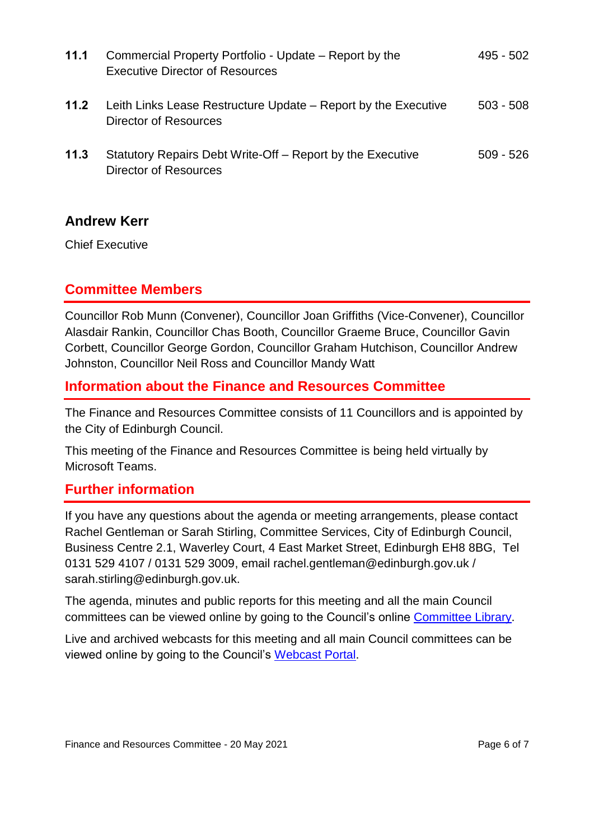| 11.1 | Commercial Property Portfolio - Update – Report by the<br><b>Executive Director of Resources</b> | 495 - 502   |  |
|------|--------------------------------------------------------------------------------------------------|-------------|--|
| 11.2 | Leith Links Lease Restructure Update – Report by the Executive<br>Director of Resources          | $503 - 508$ |  |
| 11.3 | Statutory Repairs Debt Write-Off – Report by the Executive<br>Director of Resources              | $509 - 526$ |  |

#### **Andrew Kerr**

Chief Executive

# **Committee Members**

Councillor Rob Munn (Convener), Councillor Joan Griffiths (Vice-Convener), Councillor Alasdair Rankin, Councillor Chas Booth, Councillor Graeme Bruce, Councillor Gavin Corbett, Councillor George Gordon, Councillor Graham Hutchison, Councillor Andrew Johnston, Councillor Neil Ross and Councillor Mandy Watt

#### **Information about the Finance and Resources Committee**

The Finance and Resources Committee consists of 11 Councillors and is appointed by the City of Edinburgh Council.

This meeting of the Finance and Resources Committee is being held virtually by Microsoft Teams.

# **Further information**

If you have any questions about the agenda or meeting arrangements, please contact Rachel Gentleman or Sarah Stirling, Committee Services, City of Edinburgh Council, Business Centre 2.1, Waverley Court, 4 East Market Street, Edinburgh EH8 8BG, Tel 0131 529 4107 / 0131 529 3009, email rachel.gentleman@edinburgh.gov.uk / sarah.stirling@edinburgh.gov.uk.

The agenda, minutes and public reports for this meeting and all the main Council committees can be viewed online by going to the Council's online [Committee Library.](https://democracy.edinburgh.gov.uk/ieDocHome.aspx?bcr=1)

Live and archived webcasts for this meeting and all main Council committees can be viewed online by going to the Council's [Webcast Portal.](https://edinburgh.public-i.tv/core/portal/home)